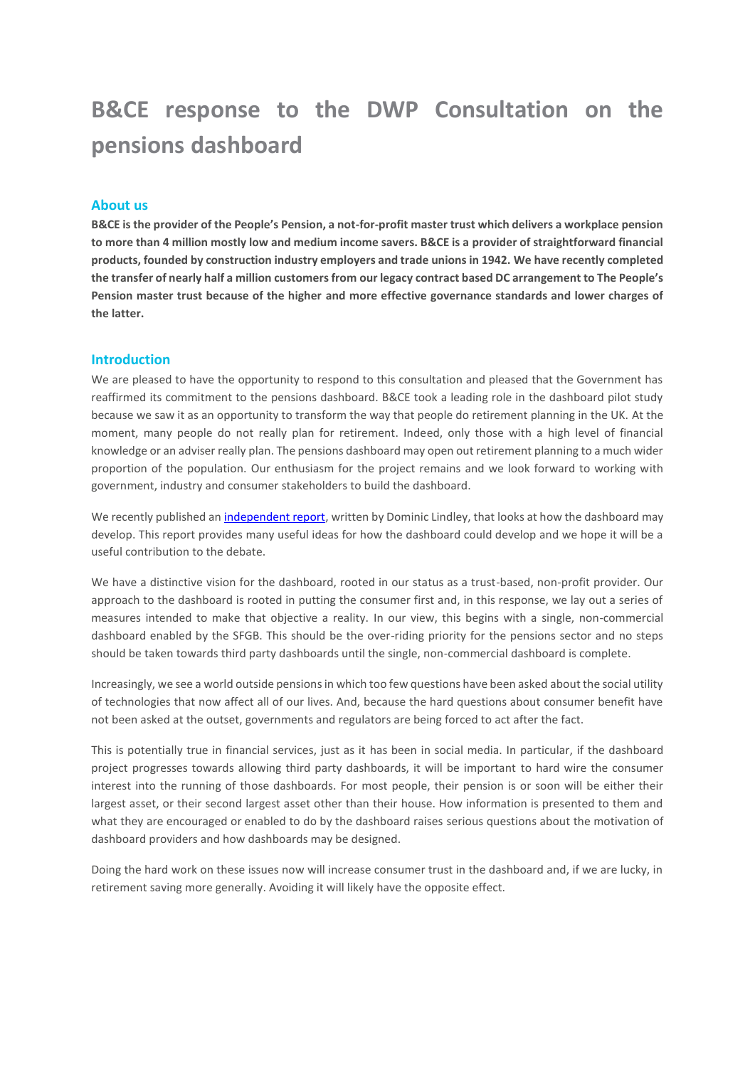# **B&CE response to the DWP Consultation on the pensions dashboard**

#### **About us**

**B&CE is the provider of the People's Pension, a not-for-profit master trust which delivers a workplace pension to more than 4 million mostly low and medium income savers. B&CE is a provider of straightforward financial products, founded by construction industry employers and trade unions in 1942. We have recently completed the transfer of nearly half a million customers from our legacy contract based DC arrangement to The People's Pension master trust because of the higher and more effective governance standards and lower charges of the latter.**

#### **Introduction**

We are pleased to have the opportunity to respond to this consultation and pleased that the Government has reaffirmed its commitment to the pensions dashboard. B&CE took a leading role in the dashboard pilot study because we saw it as an opportunity to transform the way that people do retirement planning in the UK. At the moment, many people do not really plan for retirement. Indeed, only those with a high level of financial knowledge or an adviser really plan. The pensions dashboard may open out retirement planning to a much wider proportion of the population. Our enthusiasm for the project remains and we look forward to working with government, industry and consumer stakeholders to build the dashboard.

We recently published a[n independent report,](http://bandce.co.uk/wp-content/uploads/2019/01/Pension-Dashboard-report.pdf) written by Dominic Lindley, that looks at how the dashboard may develop. This report provides many useful ideas for how the dashboard could develop and we hope it will be a useful contribution to the debate.

We have a distinctive vision for the dashboard, rooted in our status as a trust-based, non-profit provider. Our approach to the dashboard is rooted in putting the consumer first and, in this response, we lay out a series of measures intended to make that objective a reality. In our view, this begins with a single, non-commercial dashboard enabled by the SFGB. This should be the over-riding priority for the pensions sector and no steps should be taken towards third party dashboards until the single, non-commercial dashboard is complete.

Increasingly, we see a world outside pensions in which too few questions have been asked about the social utility of technologies that now affect all of our lives. And, because the hard questions about consumer benefit have not been asked at the outset, governments and regulators are being forced to act after the fact.

This is potentially true in financial services, just as it has been in social media. In particular, if the dashboard project progresses towards allowing third party dashboards, it will be important to hard wire the consumer interest into the running of those dashboards. For most people, their pension is or soon will be either their largest asset, or their second largest asset other than their house. How information is presented to them and what they are encouraged or enabled to do by the dashboard raises serious questions about the motivation of dashboard providers and how dashboards may be designed.

Doing the hard work on these issues now will increase consumer trust in the dashboard and, if we are lucky, in retirement saving more generally. Avoiding it will likely have the opposite effect.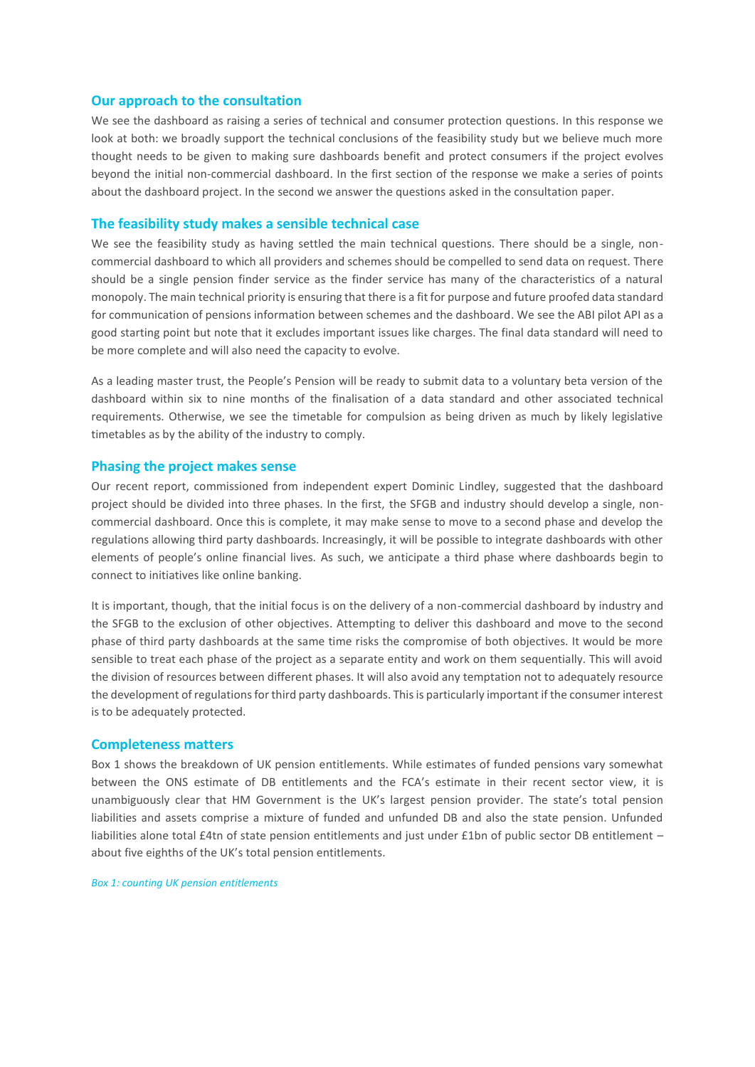#### **Our approach to the consultation**

We see the dashboard as raising a series of technical and consumer protection questions. In this response we look at both: we broadly support the technical conclusions of the feasibility study but we believe much more thought needs to be given to making sure dashboards benefit and protect consumers if the project evolves beyond the initial non-commercial dashboard. In the first section of the response we make a series of points about the dashboard project. In the second we answer the questions asked in the consultation paper.

#### **The feasibility study makes a sensible technical case**

We see the feasibility study as having settled the main technical questions. There should be a single, noncommercial dashboard to which all providers and schemes should be compelled to send data on request. There should be a single pension finder service as the finder service has many of the characteristics of a natural monopoly. The main technical priority is ensuring that there is a fit for purpose and future proofed data standard for communication of pensions information between schemes and the dashboard. We see the ABI pilot API as a good starting point but note that it excludes important issues like charges. The final data standard will need to be more complete and will also need the capacity to evolve.

As a leading master trust, the People's Pension will be ready to submit data to a voluntary beta version of the dashboard within six to nine months of the finalisation of a data standard and other associated technical requirements. Otherwise, we see the timetable for compulsion as being driven as much by likely legislative timetables as by the ability of the industry to comply.

#### **Phasing the project makes sense**

Our recent report, commissioned from independent expert Dominic Lindley, suggested that the dashboard project should be divided into three phases. In the first, the SFGB and industry should develop a single, noncommercial dashboard. Once this is complete, it may make sense to move to a second phase and develop the regulations allowing third party dashboards. Increasingly, it will be possible to integrate dashboards with other elements of people's online financial lives. As such, we anticipate a third phase where dashboards begin to connect to initiatives like online banking.

It is important, though, that the initial focus is on the delivery of a non-commercial dashboard by industry and the SFGB to the exclusion of other objectives. Attempting to deliver this dashboard and move to the second phase of third party dashboards at the same time risks the compromise of both objectives. It would be more sensible to treat each phase of the project as a separate entity and work on them sequentially. This will avoid the division of resources between different phases. It will also avoid any temptation not to adequately resource the development of regulations for third party dashboards. This is particularly important if the consumer interest is to be adequately protected.

#### **Completeness matters**

Box 1 shows the breakdown of UK pension entitlements. While estimates of funded pensions vary somewhat between the ONS estimate of DB entitlements and the FCA's estimate in their recent sector view, it is unambiguously clear that HM Government is the UK's largest pension provider. The state's total pension liabilities and assets comprise a mixture of funded and unfunded DB and also the state pension. Unfunded liabilities alone total £4tn of state pension entitlements and just under £1bn of public sector DB entitlement – about five eighths of the UK's total pension entitlements.

*Box 1: counting UK pension entitlements*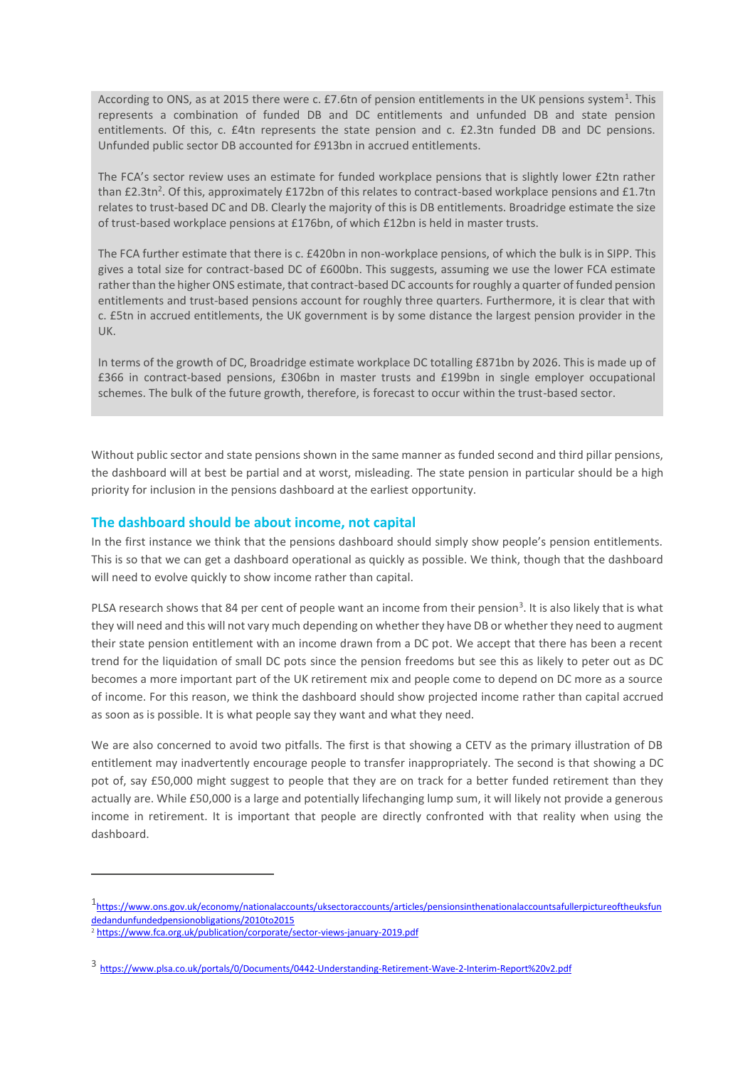According to ONS, as at 2015 there were c. £7.6tn of pension entitlements in the UK pensions system<sup>1</sup>. This represents a combination of funded DB and DC entitlements and unfunded DB and state pension entitlements. Of this, c. £4tn represents the state pension and c. £2.3tn funded DB and DC pensions. Unfunded public sector DB accounted for £913bn in accrued entitlements.

The FCA's sector review uses an estimate for funded workplace pensions that is slightly lower £2tn rather than £2.3tn<sup>2</sup>. Of this, approximately £172bn of this relates to contract-based workplace pensions and £1.7tn relates to trust-based DC and DB. Clearly the majority of this is DB entitlements. Broadridge estimate the size of trust-based workplace pensions at £176bn, of which £12bn is held in master trusts.

The FCA further estimate that there is c. £420bn in non-workplace pensions, of which the bulk is in SIPP. This gives a total size for contract-based DC of £600bn. This suggests, assuming we use the lower FCA estimate rather than the higher ONS estimate, that contract-based DC accounts for roughly a quarter of funded pension entitlements and trust-based pensions account for roughly three quarters. Furthermore, it is clear that with c. £5tn in accrued entitlements, the UK government is by some distance the largest pension provider in the UK.

In terms of the growth of DC, Broadridge estimate workplace DC totalling £871bn by 2026. This is made up of £366 in contract-based pensions, £306bn in master trusts and £199bn in single employer occupational schemes. The bulk of the future growth, therefore, is forecast to occur within the trust-based sector.

Without public sector and state pensions shown in the same manner as funded second and third pillar pensions, the dashboard will at best be partial and at worst, misleading. The state pension in particular should be a high priority for inclusion in the pensions dashboard at the earliest opportunity.

#### **The dashboard should be about income, not capital**

In the first instance we think that the pensions dashboard should simply show people's pension entitlements. This is so that we can get a dashboard operational as quickly as possible. We think, though that the dashboard will need to evolve quickly to show income rather than capital.

PLSA research shows that 84 per cent of people want an income from their pension<sup>3</sup>. It is also likely that is what they will need and this will not vary much depending on whether they have DB or whether they need to augment their state pension entitlement with an income drawn from a DC pot. We accept that there has been a recent trend for the liquidation of small DC pots since the pension freedoms but see this as likely to peter out as DC becomes a more important part of the UK retirement mix and people come to depend on DC more as a source of income. For this reason, we think the dashboard should show projected income rather than capital accrued as soon as is possible. It is what people say they want and what they need.

We are also concerned to avoid two pitfalls. The first is that showing a CETV as the primary illustration of DB entitlement may inadvertently encourage people to transfer inappropriately. The second is that showing a DC pot of, say £50,000 might suggest to people that they are on track for a better funded retirement than they actually are. While £50,000 is a large and potentially lifechanging lump sum, it will likely not provide a generous income in retirement. It is important that people are directly confronted with that reality when using the dashboard.

1

<sup>1&</sup>lt;sub>[https://www.ons.gov.uk/economy/nationalaccounts/uksectoraccounts/articles/pensionsinthenationalaccountsafullerpictureoftheuksfun](https://www.ons.gov.uk/economy/nationalaccounts/uksectoraccounts/articles/pensionsinthenationalaccountsafullerpictureoftheuksfundedandunfundedpensionobligations/2010to2015)</sub> [dedandunfundedpensionobligations/2010to2015](https://www.ons.gov.uk/economy/nationalaccounts/uksectoraccounts/articles/pensionsinthenationalaccountsafullerpictureoftheuksfundedandunfundedpensionobligations/2010to2015)

<sup>2</sup> <https://www.fca.org.uk/publication/corporate/sector-views-january-2019.pdf>

<sup>3</sup> <https://www.plsa.co.uk/portals/0/Documents/0442-Understanding-Retirement-Wave-2-Interim-Report%20v2.pdf>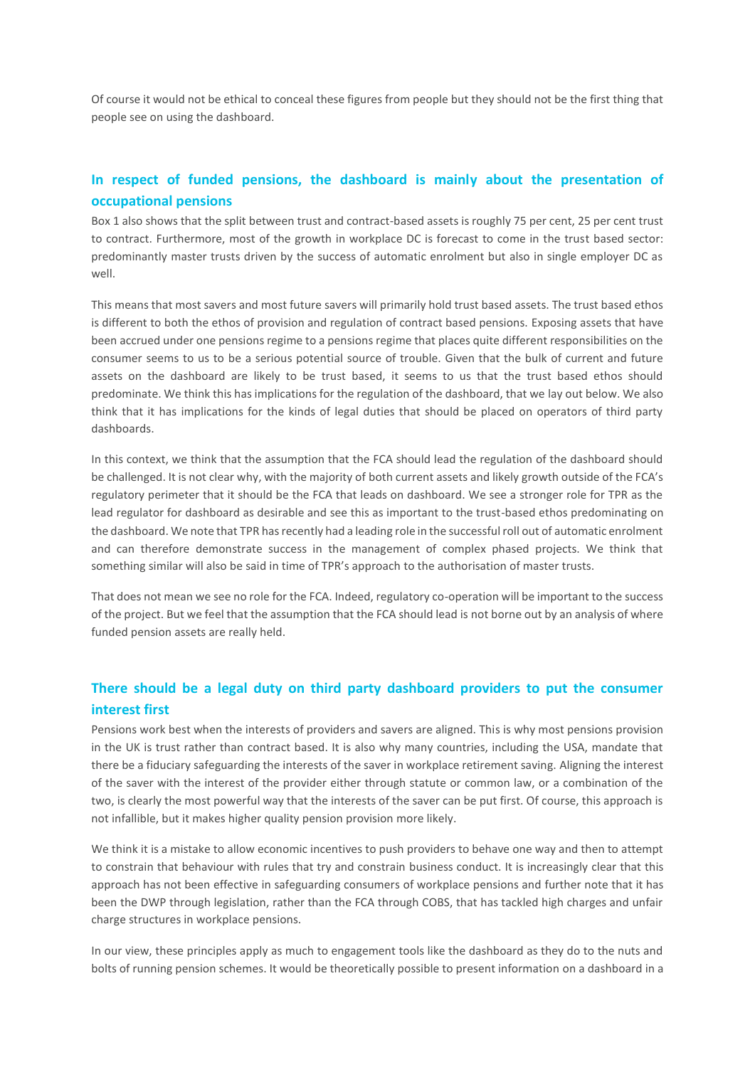Of course it would not be ethical to conceal these figures from people but they should not be the first thing that people see on using the dashboard.

## **In respect of funded pensions, the dashboard is mainly about the presentation of occupational pensions**

Box 1 also shows that the split between trust and contract-based assets is roughly 75 per cent, 25 per cent trust to contract. Furthermore, most of the growth in workplace DC is forecast to come in the trust based sector: predominantly master trusts driven by the success of automatic enrolment but also in single employer DC as well.

This means that most savers and most future savers will primarily hold trust based assets. The trust based ethos is different to both the ethos of provision and regulation of contract based pensions. Exposing assets that have been accrued under one pensions regime to a pensions regime that places quite different responsibilities on the consumer seems to us to be a serious potential source of trouble. Given that the bulk of current and future assets on the dashboard are likely to be trust based, it seems to us that the trust based ethos should predominate. We think this has implications for the regulation of the dashboard, that we lay out below. We also think that it has implications for the kinds of legal duties that should be placed on operators of third party dashboards.

In this context, we think that the assumption that the FCA should lead the regulation of the dashboard should be challenged. It is not clear why, with the majority of both current assets and likely growth outside of the FCA's regulatory perimeter that it should be the FCA that leads on dashboard. We see a stronger role for TPR as the lead regulator for dashboard as desirable and see this as important to the trust-based ethos predominating on the dashboard. We note that TPR has recently had a leading role in the successful roll out of automatic enrolment and can therefore demonstrate success in the management of complex phased projects. We think that something similar will also be said in time of TPR's approach to the authorisation of master trusts.

That does not mean we see no role for the FCA. Indeed, regulatory co-operation will be important to the success of the project. But we feel that the assumption that the FCA should lead is not borne out by an analysis of where funded pension assets are really held.

## **There should be a legal duty on third party dashboard providers to put the consumer interest first**

Pensions work best when the interests of providers and savers are aligned. This is why most pensions provision in the UK is trust rather than contract based. It is also why many countries, including the USA, mandate that there be a fiduciary safeguarding the interests of the saver in workplace retirement saving. Aligning the interest of the saver with the interest of the provider either through statute or common law, or a combination of the two, is clearly the most powerful way that the interests of the saver can be put first. Of course, this approach is not infallible, but it makes higher quality pension provision more likely.

We think it is a mistake to allow economic incentives to push providers to behave one way and then to attempt to constrain that behaviour with rules that try and constrain business conduct. It is increasingly clear that this approach has not been effective in safeguarding consumers of workplace pensions and further note that it has been the DWP through legislation, rather than the FCA through COBS, that has tackled high charges and unfair charge structures in workplace pensions.

In our view, these principles apply as much to engagement tools like the dashboard as they do to the nuts and bolts of running pension schemes. It would be theoretically possible to present information on a dashboard in a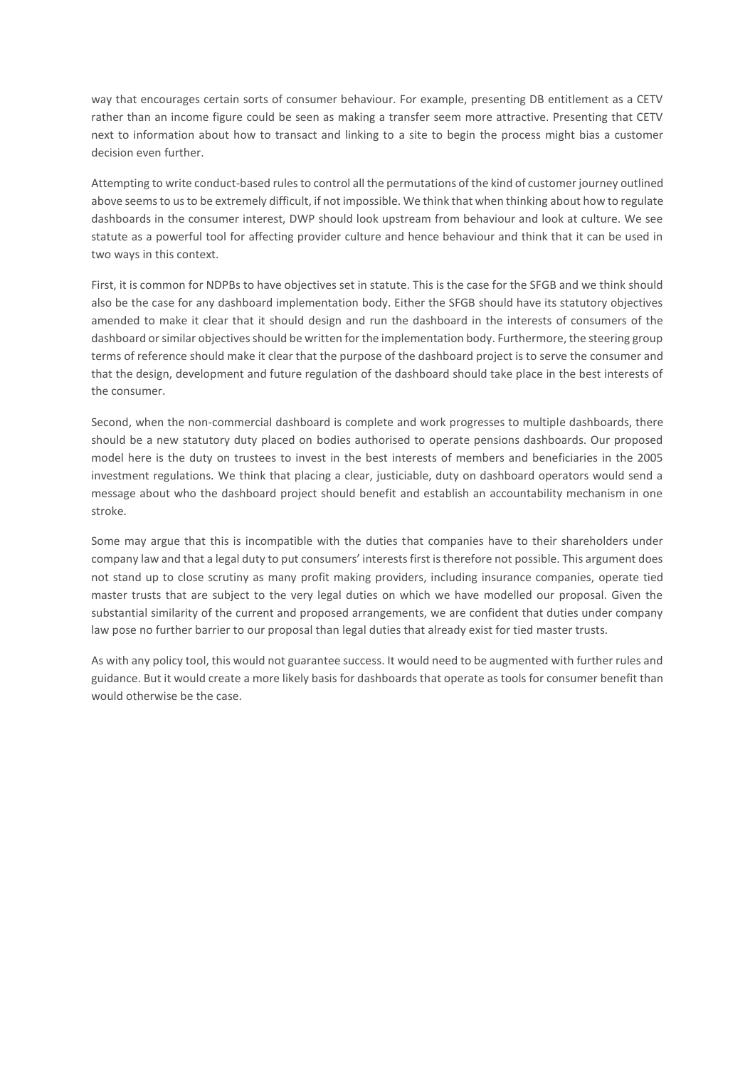way that encourages certain sorts of consumer behaviour. For example, presenting DB entitlement as a CETV rather than an income figure could be seen as making a transfer seem more attractive. Presenting that CETV next to information about how to transact and linking to a site to begin the process might bias a customer decision even further.

Attempting to write conduct-based rules to control all the permutations of the kind of customer journey outlined above seems to us to be extremely difficult, if not impossible. We think that when thinking about how to regulate dashboards in the consumer interest, DWP should look upstream from behaviour and look at culture. We see statute as a powerful tool for affecting provider culture and hence behaviour and think that it can be used in two ways in this context.

First, it is common for NDPBs to have objectives set in statute. This is the case for the SFGB and we think should also be the case for any dashboard implementation body. Either the SFGB should have its statutory objectives amended to make it clear that it should design and run the dashboard in the interests of consumers of the dashboard or similar objectives should be written for the implementation body. Furthermore, the steering group terms of reference should make it clear that the purpose of the dashboard project is to serve the consumer and that the design, development and future regulation of the dashboard should take place in the best interests of the consumer.

Second, when the non-commercial dashboard is complete and work progresses to multiple dashboards, there should be a new statutory duty placed on bodies authorised to operate pensions dashboards. Our proposed model here is the duty on trustees to invest in the best interests of members and beneficiaries in the 2005 investment regulations. We think that placing a clear, justiciable, duty on dashboard operators would send a message about who the dashboard project should benefit and establish an accountability mechanism in one stroke.

Some may argue that this is incompatible with the duties that companies have to their shareholders under company law and that a legal duty to put consumers' interests first is therefore not possible. This argument does not stand up to close scrutiny as many profit making providers, including insurance companies, operate tied master trusts that are subject to the very legal duties on which we have modelled our proposal. Given the substantial similarity of the current and proposed arrangements, we are confident that duties under company law pose no further barrier to our proposal than legal duties that already exist for tied master trusts.

As with any policy tool, this would not guarantee success. It would need to be augmented with further rules and guidance. But it would create a more likely basis for dashboards that operate as tools for consumer benefit than would otherwise be the case.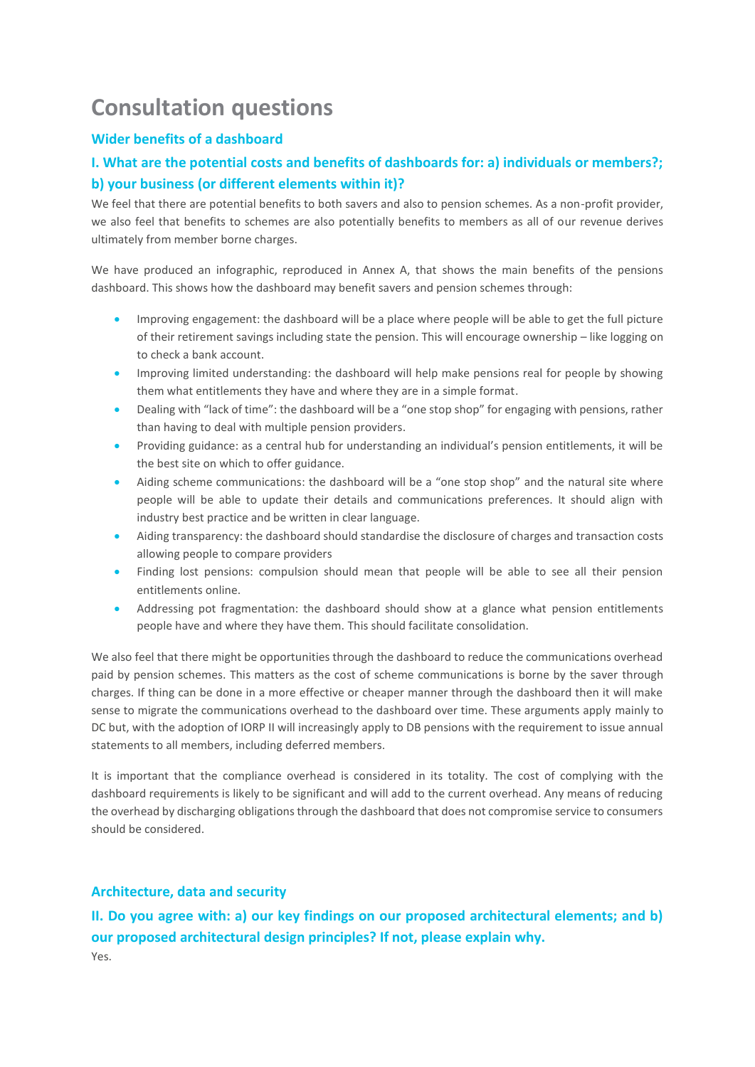## **Consultation questions**

#### **Wider benefits of a dashboard**

## **I. What are the potential costs and benefits of dashboards for: a) individuals or members?; b) your business (or different elements within it)?**

We feel that there are potential benefits to both savers and also to pension schemes. As a non-profit provider, we also feel that benefits to schemes are also potentially benefits to members as all of our revenue derives ultimately from member borne charges.

We have produced an infographic, reproduced in Annex A, that shows the main benefits of the pensions dashboard. This shows how the dashboard may benefit savers and pension schemes through:

- Improving engagement: the dashboard will be a place where people will be able to get the full picture of their retirement savings including state the pension. This will encourage ownership – like logging on to check a bank account.
- Improving limited understanding: the dashboard will help make pensions real for people by showing them what entitlements they have and where they are in a simple format.
- Dealing with "lack of time": the dashboard will be a "one stop shop" for engaging with pensions, rather than having to deal with multiple pension providers.
- Providing guidance: as a central hub for understanding an individual's pension entitlements, it will be the best site on which to offer guidance.
- Aiding scheme communications: the dashboard will be a "one stop shop" and the natural site where people will be able to update their details and communications preferences. It should align with industry best practice and be written in clear language.
- Aiding transparency: the dashboard should standardise the disclosure of charges and transaction costs allowing people to compare providers
- Finding lost pensions: compulsion should mean that people will be able to see all their pension entitlements online.
- Addressing pot fragmentation: the dashboard should show at a glance what pension entitlements people have and where they have them. This should facilitate consolidation.

We also feel that there might be opportunities through the dashboard to reduce the communications overhead paid by pension schemes. This matters as the cost of scheme communications is borne by the saver through charges. If thing can be done in a more effective or cheaper manner through the dashboard then it will make sense to migrate the communications overhead to the dashboard over time. These arguments apply mainly to DC but, with the adoption of IORP II will increasingly apply to DB pensions with the requirement to issue annual statements to all members, including deferred members.

It is important that the compliance overhead is considered in its totality. The cost of complying with the dashboard requirements is likely to be significant and will add to the current overhead. Any means of reducing the overhead by discharging obligations through the dashboard that does not compromise service to consumers should be considered.

## **Architecture, data and security**

**II. Do you agree with: a) our key findings on our proposed architectural elements; and b) our proposed architectural design principles? If not, please explain why.**  Yes.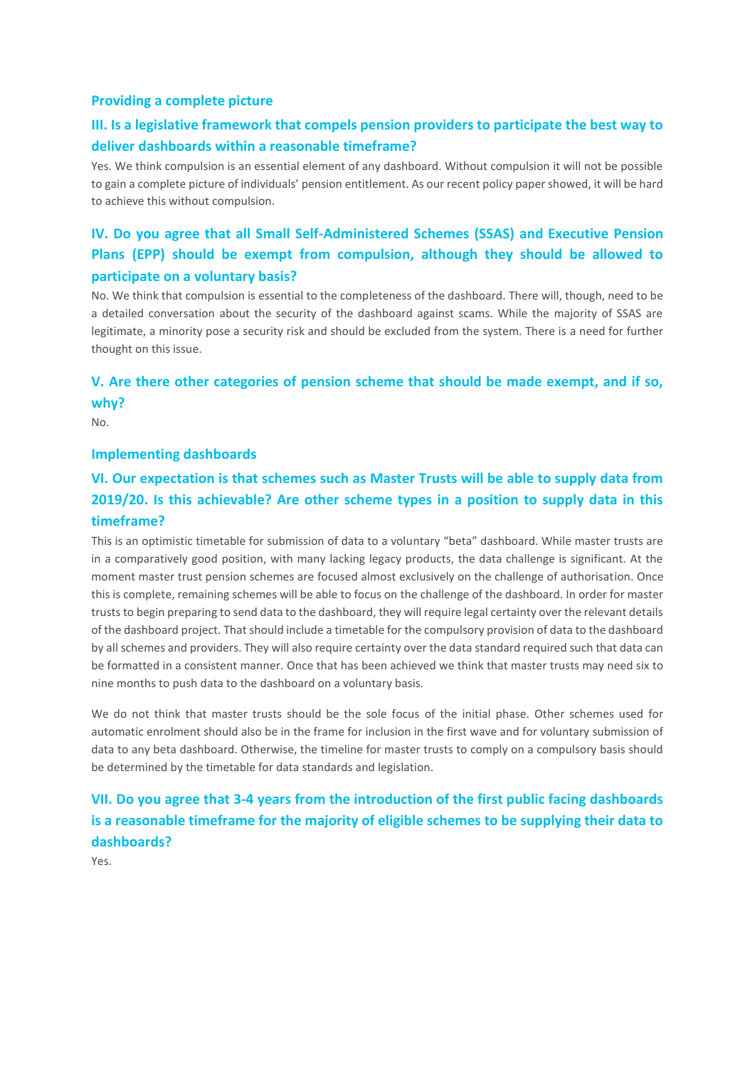#### **Providing a complete picture**

## **III. Is a legislative framework that compels pension providers to participate the best way to deliver dashboards within a reasonable timeframe?**

Yes. We think compulsion is an essential element of any dashboard. Without compulsion it will not be possible to gain a complete picture of individuals' pension entitlement. As our recent policy paper showed, it will be hard to achieve this without compulsion.

## **IV. Do you agree that all Small Self-Administered Schemes (SSAS) and Executive Pension Plans (EPP) should be exempt from compulsion, although they should be allowed to participate on a voluntary basis?**

No. We think that compulsion is essential to the completeness of the dashboard. There will, though, need to be a detailed conversation about the security of the dashboard against scams. While the majority of SSAS are legitimate, a minority pose a security risk and should be excluded from the system. There is a need for further thought on this issue.

## **V. Are there other categories of pension scheme that should be made exempt, and if so, why?**

No.

#### **Implementing dashboards**

## **VI. Our expectation is that schemes such as Master Trusts will be able to supply data from 2019/20. Is this achievable? Are other scheme types in a position to supply data in this timeframe?**

This is an optimistic timetable for submission of data to a voluntary "beta" dashboard. While master trusts are in a comparatively good position, with many lacking legacy products, the data challenge is significant. At the moment master trust pension schemes are focused almost exclusively on the challenge of authorisation. Once this is complete, remaining schemes will be able to focus on the challenge of the dashboard. In order for master trusts to begin preparing to send data to the dashboard, they will require legal certainty over the relevant details of the dashboard project. That should include a timetable for the compulsory provision of data to the dashboard by all schemes and providers. They will also require certainty over the data standard required such that data can be formatted in a consistent manner. Once that has been achieved we think that master trusts may need six to nine months to push data to the dashboard on a voluntary basis.

We do not think that master trusts should be the sole focus of the initial phase. Other schemes used for automatic enrolment should also be in the frame for inclusion in the first wave and for voluntary submission of data to any beta dashboard. Otherwise, the timeline for master trusts to comply on a compulsory basis should be determined by the timetable for data standards and legislation.

## **VII. Do you agree that 3-4 years from the introduction of the first public facing dashboards is a reasonable timeframe for the majority of eligible schemes to be supplying their data to dashboards?**

Yes.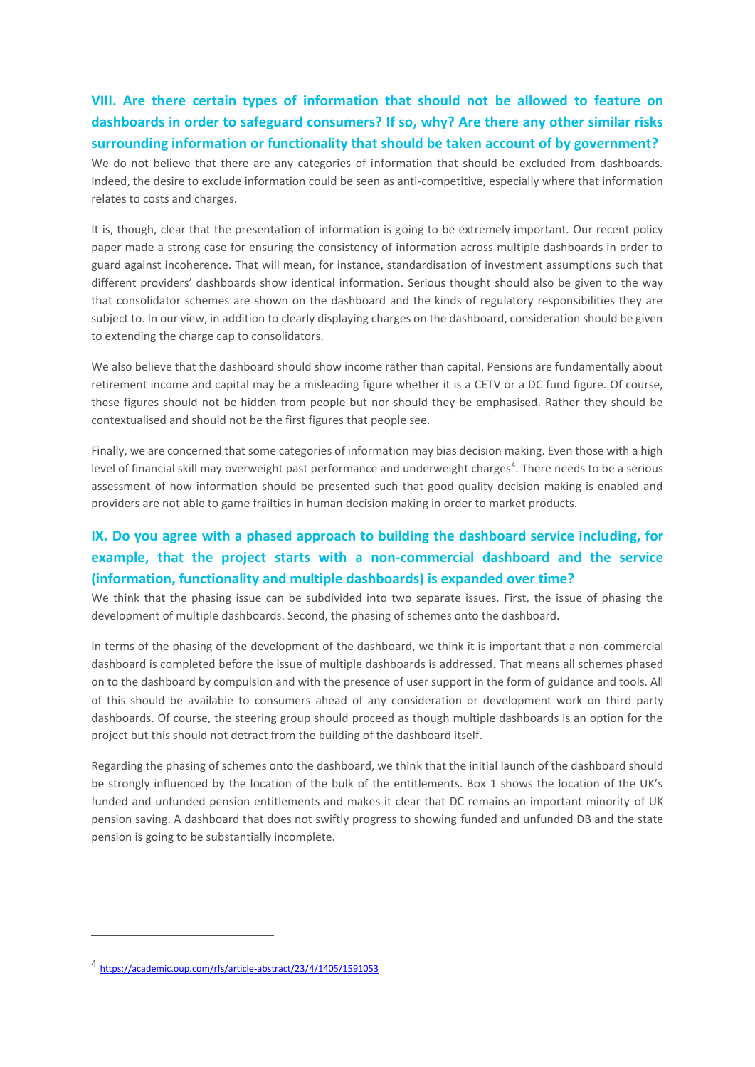**VIII. Are there certain types of information that should not be allowed to feature on dashboards in order to safeguard consumers? If so, why? Are there any other similar risks surrounding information or functionality that should be taken account of by government?** 

We do not believe that there are any categories of information that should be excluded from dashboards. Indeed, the desire to exclude information could be seen as anti-competitive, especially where that information relates to costs and charges.

It is, though, clear that the presentation of information is going to be extremely important. Our recent policy paper made a strong case for ensuring the consistency of information across multiple dashboards in order to guard against incoherence. That will mean, for instance, standardisation of investment assumptions such that different providers' dashboards show identical information. Serious thought should also be given to the way that consolidator schemes are shown on the dashboard and the kinds of regulatory responsibilities they are subject to. In our view, in addition to clearly displaying charges on the dashboard, consideration should be given to extending the charge cap to consolidators.

We also believe that the dashboard should show income rather than capital. Pensions are fundamentally about retirement income and capital may be a misleading figure whether it is a CETV or a DC fund figure. Of course, these figures should not be hidden from people but nor should they be emphasised. Rather they should be contextualised and should not be the first figures that people see.

Finally, we are concerned that some categories of information may bias decision making. Even those with a high level of financial skill may overweight past performance and underweight charges<sup>4</sup>. There needs to be a serious assessment of how information should be presented such that good quality decision making is enabled and providers are not able to game frailties in human decision making in order to market products.

## **IX. Do you agree with a phased approach to building the dashboard service including, for example, that the project starts with a non-commercial dashboard and the service (information, functionality and multiple dashboards) is expanded over time?**

We think that the phasing issue can be subdivided into two separate issues. First, the issue of phasing the development of multiple dashboards. Second, the phasing of schemes onto the dashboard.

In terms of the phasing of the development of the dashboard, we think it is important that a non-commercial dashboard is completed before the issue of multiple dashboards is addressed. That means all schemes phased on to the dashboard by compulsion and with the presence of user support in the form of guidance and tools. All of this should be available to consumers ahead of any consideration or development work on third party dashboards. Of course, the steering group should proceed as though multiple dashboards is an option for the project but this should not detract from the building of the dashboard itself.

Regarding the phasing of schemes onto the dashboard, we think that the initial launch of the dashboard should be strongly influenced by the location of the bulk of the entitlements. Box 1 shows the location of the UK's funded and unfunded pension entitlements and makes it clear that DC remains an important minority of UK pension saving. A dashboard that does not swiftly progress to showing funded and unfunded DB and the state pension is going to be substantially incomplete.

1

<sup>4</sup> <https://academic.oup.com/rfs/article-abstract/23/4/1405/1591053>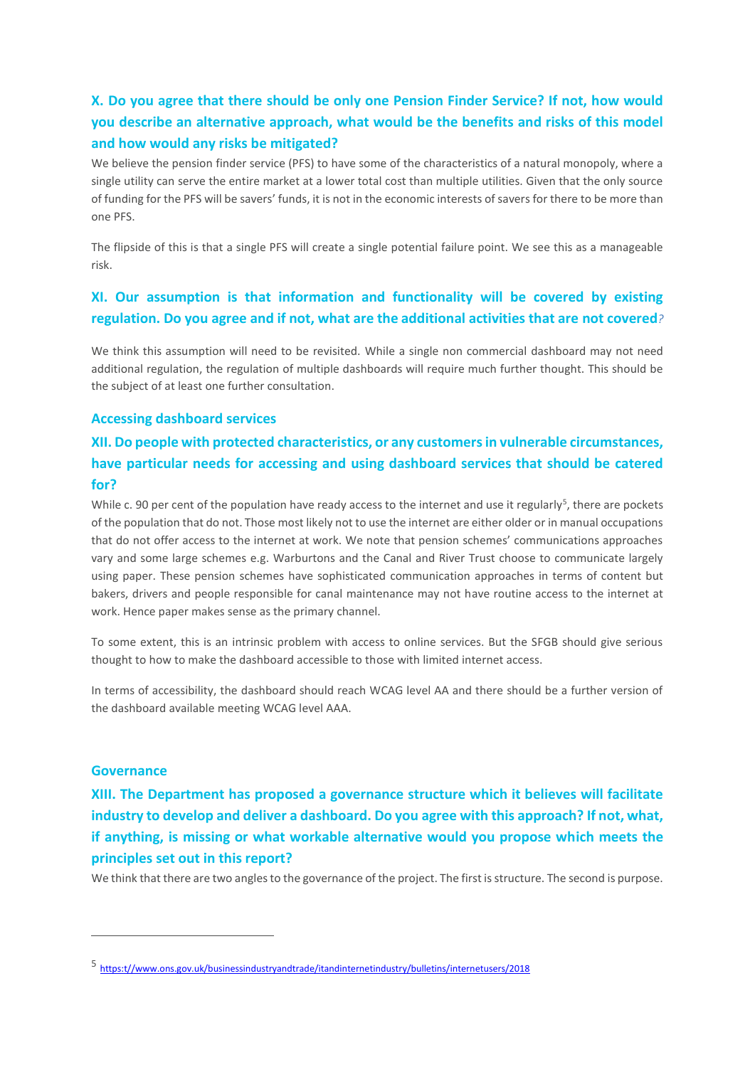## **X. Do you agree that there should be only one Pension Finder Service? If not, how would you describe an alternative approach, what would be the benefits and risks of this model and how would any risks be mitigated?**

We believe the pension finder service (PFS) to have some of the characteristics of a natural monopoly, where a single utility can serve the entire market at a lower total cost than multiple utilities. Given that the only source of funding for the PFS will be savers' funds, it is not in the economic interests of savers for there to be more than one PFS.

The flipside of this is that a single PFS will create a single potential failure point. We see this as a manageable risk.

### **XI. Our assumption is that information and functionality will be covered by existing regulation. Do you agree and if not, what are the additional activities that are not covered***?*

We think this assumption will need to be revisited. While a single non commercial dashboard may not need additional regulation, the regulation of multiple dashboards will require much further thought. This should be the subject of at least one further consultation.

#### **Accessing dashboard services**

## **XII. Do people with protected characteristics, or any customers in vulnerable circumstances, have particular needs for accessing and using dashboard services that should be catered for?**

While c. 90 per cent of the population have ready access to the internet and use it regularly<sup>5</sup>, there are pockets of the population that do not. Those most likely not to use the internet are either older or in manual occupations that do not offer access to the internet at work. We note that pension schemes' communications approaches vary and some large schemes e.g. Warburtons and the Canal and River Trust choose to communicate largely using paper. These pension schemes have sophisticated communication approaches in terms of content but bakers, drivers and people responsible for canal maintenance may not have routine access to the internet at work. Hence paper makes sense as the primary channel.

To some extent, this is an intrinsic problem with access to online services. But the SFGB should give serious thought to how to make the dashboard accessible to those with limited internet access.

In terms of accessibility, the dashboard should reach WCAG level AA and there should be a further version of the dashboard available meeting WCAG level AAA.

#### **Governance**

1

**XIII. The Department has proposed a governance structure which it believes will facilitate industry to develop and deliver a dashboard. Do you agree with this approach? If not, what, if anything, is missing or what workable alternative would you propose which meets the principles set out in this report?** 

We think that there are two angles to the governance of the project. The first is structure. The second is purpose.

<sup>5</sup> [https:t//www.ons.gov.uk/businessindustryandtrade/itandinternetindustry/bulletins/internetusers/2018](https://www.ons.gov.uk/businessindustryandtrade/itandinternetindustry/bulletins/internetusers/2018)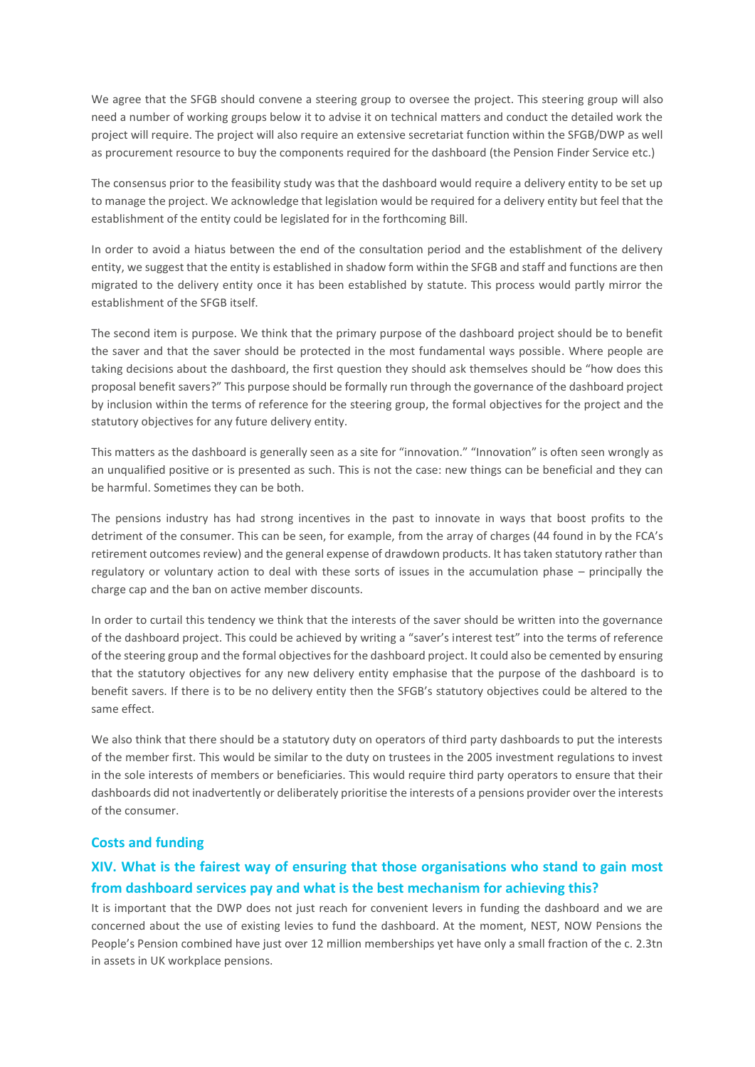We agree that the SFGB should convene a steering group to oversee the project. This steering group will also need a number of working groups below it to advise it on technical matters and conduct the detailed work the project will require. The project will also require an extensive secretariat function within the SFGB/DWP as well as procurement resource to buy the components required for the dashboard (the Pension Finder Service etc.)

The consensus prior to the feasibility study was that the dashboard would require a delivery entity to be set up to manage the project. We acknowledge that legislation would be required for a delivery entity but feel that the establishment of the entity could be legislated for in the forthcoming Bill.

In order to avoid a hiatus between the end of the consultation period and the establishment of the delivery entity, we suggest that the entity is established in shadow form within the SFGB and staff and functions are then migrated to the delivery entity once it has been established by statute. This process would partly mirror the establishment of the SFGB itself.

The second item is purpose. We think that the primary purpose of the dashboard project should be to benefit the saver and that the saver should be protected in the most fundamental ways possible. Where people are taking decisions about the dashboard, the first question they should ask themselves should be "how does this proposal benefit savers?" This purpose should be formally run through the governance of the dashboard project by inclusion within the terms of reference for the steering group, the formal objectives for the project and the statutory objectives for any future delivery entity.

This matters as the dashboard is generally seen as a site for "innovation." "Innovation" is often seen wrongly as an unqualified positive or is presented as such. This is not the case: new things can be beneficial and they can be harmful. Sometimes they can be both.

The pensions industry has had strong incentives in the past to innovate in ways that boost profits to the detriment of the consumer. This can be seen, for example, from the array of charges (44 found in by the FCA's retirement outcomes review) and the general expense of drawdown products. It has taken statutory rather than regulatory or voluntary action to deal with these sorts of issues in the accumulation phase – principally the charge cap and the ban on active member discounts.

In order to curtail this tendency we think that the interests of the saver should be written into the governance of the dashboard project. This could be achieved by writing a "saver's interest test" into the terms of reference of the steering group and the formal objectives for the dashboard project. It could also be cemented by ensuring that the statutory objectives for any new delivery entity emphasise that the purpose of the dashboard is to benefit savers. If there is to be no delivery entity then the SFGB's statutory objectives could be altered to the same effect.

We also think that there should be a statutory duty on operators of third party dashboards to put the interests of the member first. This would be similar to the duty on trustees in the 2005 investment regulations to invest in the sole interests of members or beneficiaries. This would require third party operators to ensure that their dashboards did not inadvertently or deliberately prioritise the interests of a pensions provider over the interests of the consumer.

#### **Costs and funding**

## **XIV. What is the fairest way of ensuring that those organisations who stand to gain most from dashboard services pay and what is the best mechanism for achieving this?**

It is important that the DWP does not just reach for convenient levers in funding the dashboard and we are concerned about the use of existing levies to fund the dashboard. At the moment, NEST, NOW Pensions the People's Pension combined have just over 12 million memberships yet have only a small fraction of the c. 2.3tn in assets in UK workplace pensions.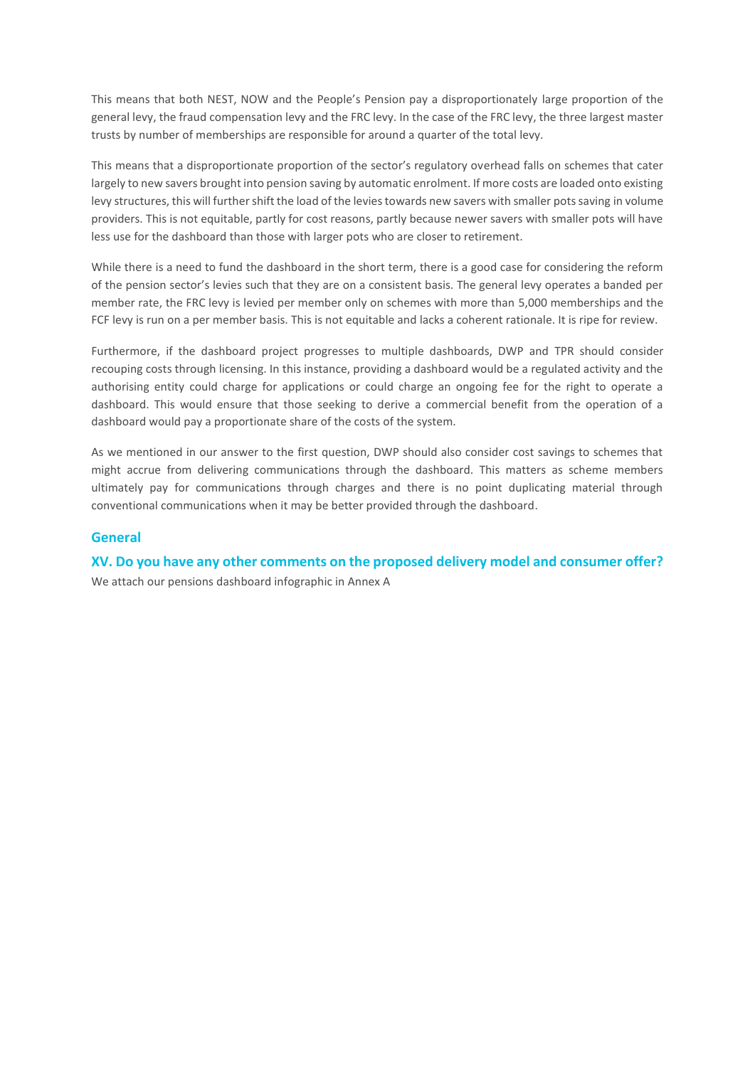This means that both NEST, NOW and the People's Pension pay a disproportionately large proportion of the general levy, the fraud compensation levy and the FRC levy. In the case of the FRC levy, the three largest master trusts by number of memberships are responsible for around a quarter of the total levy.

This means that a disproportionate proportion of the sector's regulatory overhead falls on schemes that cater largely to new savers brought into pension saving by automatic enrolment. If more costs are loaded onto existing levy structures, this will further shift the load of the levies towards new savers with smaller pots saving in volume providers. This is not equitable, partly for cost reasons, partly because newer savers with smaller pots will have less use for the dashboard than those with larger pots who are closer to retirement.

While there is a need to fund the dashboard in the short term, there is a good case for considering the reform of the pension sector's levies such that they are on a consistent basis. The general levy operates a banded per member rate, the FRC levy is levied per member only on schemes with more than 5,000 memberships and the FCF levy is run on a per member basis. This is not equitable and lacks a coherent rationale. It is ripe for review.

Furthermore, if the dashboard project progresses to multiple dashboards, DWP and TPR should consider recouping costs through licensing. In this instance, providing a dashboard would be a regulated activity and the authorising entity could charge for applications or could charge an ongoing fee for the right to operate a dashboard. This would ensure that those seeking to derive a commercial benefit from the operation of a dashboard would pay a proportionate share of the costs of the system.

As we mentioned in our answer to the first question, DWP should also consider cost savings to schemes that might accrue from delivering communications through the dashboard. This matters as scheme members ultimately pay for communications through charges and there is no point duplicating material through conventional communications when it may be better provided through the dashboard.

#### **General**

**XV. Do you have any other comments on the proposed delivery model and consumer offer?** We attach our pensions dashboard infographic in Annex A